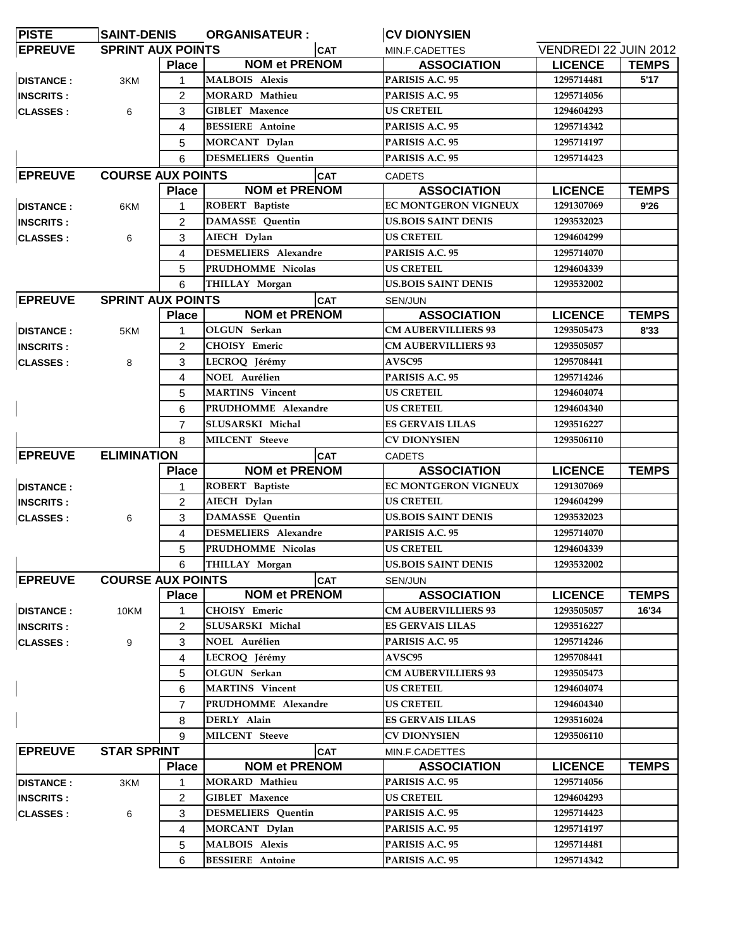| <b>PISTE</b>                               | <b>SAINT-DENIS</b>                 |                                | <b>ORGANISATEUR:</b>                             |               | <b>CV DIONYSIEN</b>           |                       |              |
|--------------------------------------------|------------------------------------|--------------------------------|--------------------------------------------------|---------------|-------------------------------|-----------------------|--------------|
| <b>EPREUVE</b>                             | <b>SPRINT AUX POINTS</b>           |                                |                                                  | <b>CAT</b>    | MIN.F.CADETTES                | VENDREDI 22 JUIN 2012 |              |
|                                            |                                    | <b>Place</b>                   | <b>NOM et PRENOM</b>                             |               | <b>ASSOCIATION</b>            | <b>LICENCE</b>        | <b>TEMPS</b> |
| <b>DISTANCE:</b>                           | 3KM                                |                                | <b>MALBOIS Alexis</b>                            |               | PARISIS A.C. 95               | 1295714481            | 5'17         |
| <b>INSCRITS:</b>                           |                                    | 2                              | MORARD Mathieu                                   |               | PARISIS A.C. 95               | 1295714056            |              |
| <b>CLASSES:</b>                            | 6                                  | 3                              | <b>GIBLET Maxence</b><br><b>BESSIERE</b> Antoine |               | <b>US CRETEIL</b>             | 1294604293            |              |
|                                            |                                    | 4                              |                                                  |               | PARISIS A.C. 95               | 1295714342            |              |
|                                            |                                    | 5                              | MORCANT Dylan                                    |               | PARISIS A.C. 95               | 1295714197            |              |
|                                            |                                    | <b>DESMELIERS</b> Quentin<br>6 |                                                  |               | PARISIS A.C. 95               | 1295714423            |              |
| <b>EPREUVE</b><br><b>COURSE AUX POINTS</b> |                                    |                                | <b>CAT</b>                                       |               | <b>CADETS</b>                 |                       |              |
|                                            |                                    | <b>Place</b>                   | <b>NOM et PRENOM</b>                             |               | <b>ASSOCIATION</b>            | <b>LICENCE</b>        | <b>TEMPS</b> |
| <b>DISTANCE:</b>                           | 6KM                                | 1                              | ROBERT Baptiste                                  |               | EC MONTGERON VIGNEUX          | 1291307069            | 9'26         |
| <b>INSCRITS:</b>                           |                                    | $\overline{2}$                 | <b>DAMASSE</b> Quentin                           |               | <b>US.BOIS SAINT DENIS</b>    | 1293532023            |              |
| <b>CLASSES:</b>                            | 6                                  | 3                              | AIECH Dylan                                      |               | <b>US CRETEIL</b>             | 1294604299            |              |
|                                            |                                    | 4                              | DESMELIERS Alexandre                             |               | PARISIS A.C. 95               | 1295714070            |              |
|                                            |                                    | 5                              | PRUDHOMME Nicolas                                |               | <b>US CRETEIL</b>             | 1294604339            |              |
|                                            |                                    | 6                              | THILLAY Morgan                                   |               | <b>US.BOIS SAINT DENIS</b>    | 1293532002            |              |
| <b>EPREUVE</b>                             | <b>SPRINT AUX POINTS</b>           |                                |                                                  | <b>CAT</b>    |                               |                       |              |
|                                            |                                    |                                | <b>NOM et PRENOM</b>                             |               | SEN/JUN<br><b>ASSOCIATION</b> |                       |              |
|                                            |                                    | <b>Place</b>                   |                                                  |               | <b>CM AUBERVILLIERS 93</b>    | <b>LICENCE</b>        | <b>TEMPS</b> |
| <b>DISTANCE:</b>                           | 5KM                                | 1                              | OLGUN Serkan                                     |               |                               | 1293505473            | 8'33         |
| <b>INSCRITS:</b>                           |                                    | 2                              | CHOISY Emeric                                    |               | <b>CM AUBERVILLIERS 93</b>    | 1293505057            |              |
| <b>CLASSES:</b>                            | 8                                  | 3                              | LECROQ Jérémy                                    |               | <b>AVSC95</b>                 | 1295708441            |              |
|                                            |                                    | 4                              | <b>NOEL Aurélien</b>                             |               | PARISIS A.C. 95               | 1295714246            |              |
|                                            |                                    | 5                              | <b>MARTINS</b> Vincent                           |               | <b>US CRETEIL</b>             | 1294604074            |              |
|                                            |                                    | 6                              | PRUDHOMME Alexandre                              |               | <b>US CRETEIL</b>             | 1294604340            |              |
|                                            |                                    | $\overline{7}$                 | SLUSARSKI Michal                                 |               | <b>ES GERVAIS LILAS</b>       | 1293516227            |              |
|                                            |                                    | 8                              | MILCENT Steeve                                   |               | CV DIONYSIEN                  | 1293506110            |              |
| <b>EPREUVE</b><br><b>ELIMINATION</b>       |                                    | <b>CAT</b>                     |                                                  | <b>CADETS</b> |                               |                       |              |
|                                            |                                    | <b>Place</b>                   | <b>NOM et PRENOM</b>                             |               | <b>ASSOCIATION</b>            | <b>LICENCE</b>        | <b>TEMPS</b> |
| <b>DISTANCE:</b>                           |                                    | 1                              | ROBERT Baptiste                                  |               | <b>EC MONTGERON VIGNEUX</b>   | 1291307069            |              |
| <b>INSCRITS:</b>                           |                                    | 2                              | AIECH Dylan                                      |               | <b>US CRETEIL</b>             | 1294604299            |              |
| <b>CLASSES:</b>                            | 6                                  | 3                              | <b>DAMASSE</b> Quentin                           |               | <b>US.BOIS SAINT DENIS</b>    | 1293532023            |              |
|                                            |                                    | 4                              | DESMELIERS Alexandre                             |               | PARISIS A.C. 95               | 1295714070            |              |
|                                            |                                    | 5                              | PRUDHOMME Nicolas                                |               | <b>US CRETEIL</b>             | 1294604339            |              |
|                                            |                                    |                                | 6 THILLAY Morgan                                 |               | <b>US.BOIS SAINT DENIS</b>    | 1293532002            |              |
| <b>EPREUVE</b>                             | <b>COURSE AUX POINTS</b>           |                                |                                                  | <b>CAT</b>    | SEN/JUN                       |                       |              |
|                                            |                                    | <b>Place</b>                   | <b>NOM et PRENOM</b>                             |               | <b>ASSOCIATION</b>            | <b>LICENCE</b>        | <b>TEMPS</b> |
| <b>DISTANCE:</b>                           | 10KM                               | 1                              | <b>CHOISY</b> Emeric                             |               | <b>CM AUBERVILLIERS 93</b>    | 1293505057            | 16'34        |
| <b>INSCRITS:</b>                           |                                    | 2                              | SLUSARSKI Michal                                 |               | <b>ES GERVAIS LILAS</b>       | 1293516227            |              |
| <b>CLASSES:</b>                            | 9                                  | 3                              | <b>NOEL Aurélien</b>                             |               | PARISIS A.C. 95               | 1295714246            |              |
|                                            |                                    | 4                              | LECROQ Jérémy                                    |               | <b>AVSC95</b>                 | 1295708441            |              |
|                                            |                                    | 5                              | OLGUN Serkan                                     |               | <b>CM AUBERVILLIERS 93</b>    | 1293505473            |              |
|                                            |                                    | 6                              | <b>MARTINS</b> Vincent                           |               | <b>US CRETEIL</b>             | 1294604074            |              |
|                                            |                                    | 7                              | PRUDHOMME Alexandre                              |               | <b>US CRETEIL</b>             | 1294604340            |              |
|                                            |                                    | 8                              | DERLY Alain                                      |               | <b>ES GERVAIS LILAS</b>       | 1293516024            |              |
|                                            |                                    | 9                              | MILCENT Steeve                                   |               | <b>CV DIONYSIEN</b>           | 1293506110            |              |
| <b>EPREUVE</b>                             | <b>STAR SPRINT</b><br><b>Place</b> |                                |                                                  | <b>CAT</b>    | MIN.F.CADETTES                |                       |              |
|                                            |                                    |                                | <b>NOM et PRENOM</b>                             |               | <b>ASSOCIATION</b>            | <b>LICENCE</b>        | <b>TEMPS</b> |
|                                            | 3KM                                | 1                              | <b>MORARD</b> Mathieu                            |               | PARISIS A.C. 95               | 1295714056            |              |
| <b>DISTANCE:</b>                           |                                    |                                | <b>GIBLET Maxence</b>                            |               | <b>US CRETEIL</b>             | 1294604293            |              |
| <b>INSCRITS:</b>                           |                                    | 2                              |                                                  |               | PARISIS A.C. 95               | 1295714423            |              |
| <b>CLASSES:</b>                            | 6                                  | 3                              | <b>DESMELIERS</b> Quentin                        |               |                               |                       |              |
|                                            |                                    | $\overline{4}$                 | MORCANT Dylan                                    |               | PARISIS A.C. 95               | 1295714197            |              |
|                                            |                                    | 5                              | <b>MALBOIS Alexis</b>                            |               | PARISIS A.C. 95               | 1295714481            |              |
|                                            |                                    | 6                              | <b>BESSIERE</b> Antoine                          |               | PARISIS A.C. 95               | 1295714342            |              |